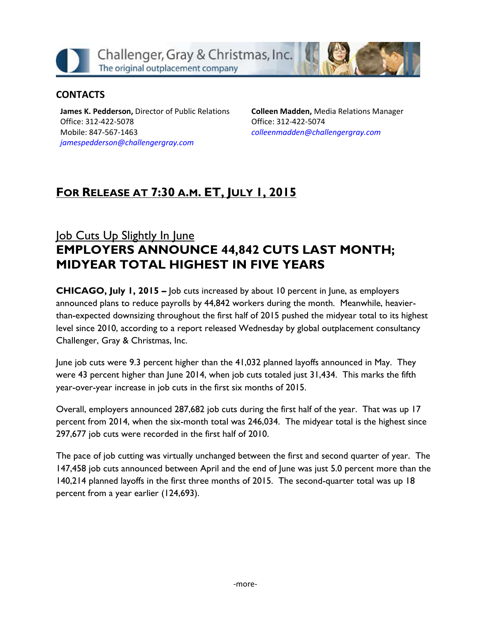Challenger, Gray & Christmas, Inc. The original outplacement company

### **CONTACTS**

**James K. Pedderson,** Director of Public Relations Office: 312-422-5078 Mobile: 847-567-1463 *[jamespedderson@challengergray.com](mailto:jamespedderson@challengergray.com)*

**Colleen Madden,** Media Relations Manager Office: 312-422-5074 *[colleenmadden@challengergray.com](mailto:colleenmadden@challengergray.com)*

# **FOR RELEASE AT 7:30 A.M. ET, JULY 1, 2015**

# Job Cuts Up Slightly In June **EMPLOYERS ANNOUNCE 44,842 CUTS LAST MONTH; MIDYEAR TOTAL HIGHEST IN FIVE YEARS**

**CHICAGO, July 1, 2015 –** Job cuts increased by about 10 percent in June, as employers announced plans to reduce payrolls by 44,842 workers during the month. Meanwhile, heavierthan-expected downsizing throughout the first half of 2015 pushed the midyear total to its highest level since 2010, according to a report released Wednesday by global outplacement consultancy Challenger, Gray & Christmas, Inc.

June job cuts were 9.3 percent higher than the 41,032 planned layoffs announced in May. They were 43 percent higher than June 2014, when job cuts totaled just 31,434. This marks the fifth year-over-year increase in job cuts in the first six months of 2015.

Overall, employers announced 287,682 job cuts during the first half of the year. That was up 17 percent from 2014, when the six-month total was 246,034. The midyear total is the highest since 297,677 job cuts were recorded in the first half of 2010.

The pace of job cutting was virtually unchanged between the first and second quarter of year. The 147,458 job cuts announced between April and the end of June was just 5.0 percent more than the 140,214 planned layoffs in the first three months of 2015. The second-quarter total was up 18 percent from a year earlier (124,693).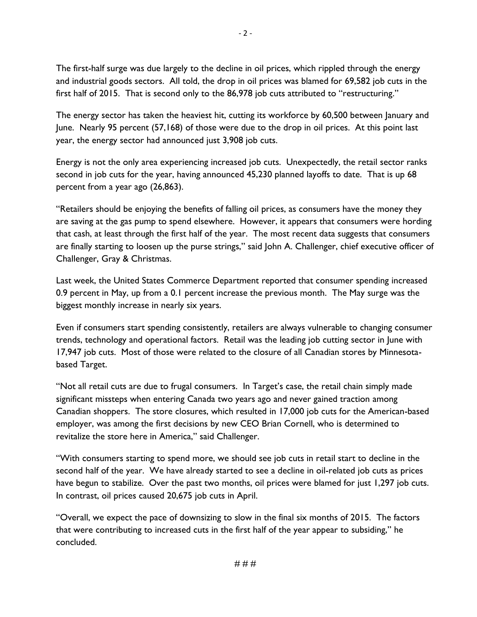The first-half surge was due largely to the decline in oil prices, which rippled through the energy and industrial goods sectors. All told, the drop in oil prices was blamed for 69,582 job cuts in the first half of 2015. That is second only to the 86,978 job cuts attributed to "restructuring."

The energy sector has taken the heaviest hit, cutting its workforce by 60,500 between January and June. Nearly 95 percent (57,168) of those were due to the drop in oil prices. At this point last year, the energy sector had announced just 3,908 job cuts.

Energy is not the only area experiencing increased job cuts. Unexpectedly, the retail sector ranks second in job cuts for the year, having announced 45,230 planned layoffs to date. That is up 68 percent from a year ago (26,863).

"Retailers should be enjoying the benefits of falling oil prices, as consumers have the money they are saving at the gas pump to spend elsewhere. However, it appears that consumers were hording that cash, at least through the first half of the year. The most recent data suggests that consumers are finally starting to loosen up the purse strings," said John A. Challenger, chief executive officer of Challenger, Gray & Christmas.

Last week, the United States Commerce Department reported that consumer spending increased 0.9 percent in May, up from a 0.1 percent increase the previous month. The May surge was the biggest monthly increase in nearly six years.

Even if consumers start spending consistently, retailers are always vulnerable to changing consumer trends, technology and operational factors. Retail was the leading job cutting sector in June with 17,947 job cuts. Most of those were related to the closure of all Canadian stores by Minnesotabased Target.

"Not all retail cuts are due to frugal consumers. In Target's case, the retail chain simply made significant missteps when entering Canada two years ago and never gained traction among Canadian shoppers. The store closures, which resulted in 17,000 job cuts for the American-based employer, was among the first decisions by new CEO Brian Cornell, who is determined to revitalize the store here in America," said Challenger.

"With consumers starting to spend more, we should see job cuts in retail start to decline in the second half of the year. We have already started to see a decline in oil-related job cuts as prices have begun to stabilize. Over the past two months, oil prices were blamed for just 1,297 job cuts. In contrast, oil prices caused 20,675 job cuts in April.

"Overall, we expect the pace of downsizing to slow in the final six months of 2015. The factors that were contributing to increased cuts in the first half of the year appear to subsiding," he concluded.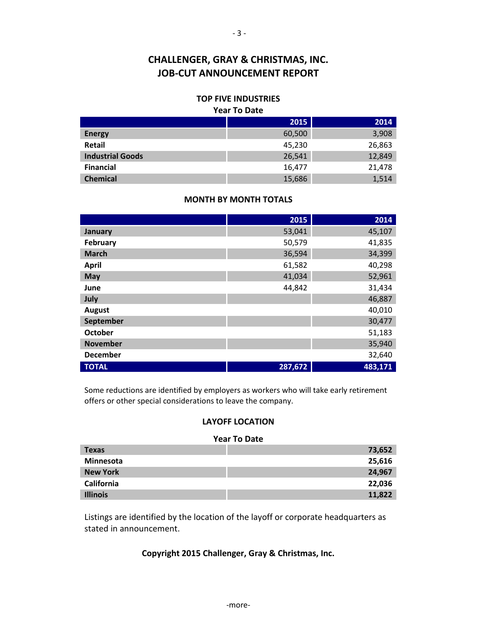### **TOP FIVE INDUSTRIES**

#### **Year To Date**

|                         | 2015   | 2014   |
|-------------------------|--------|--------|
| <b>Energy</b>           | 60,500 | 3,908  |
| <b>Retail</b>           | 45,230 | 26,863 |
| <b>Industrial Goods</b> | 26,541 | 12,849 |
| <b>Financial</b>        | 16,477 | 21,478 |
| <b>Chemical</b>         | 15,686 | 1,514  |

### **MONTH BY MONTH TOTALS**

|                 | 2015    | 2014    |
|-----------------|---------|---------|
| January         | 53,041  | 45,107  |
| February        | 50,579  | 41,835  |
| <b>March</b>    | 36,594  | 34,399  |
| <b>April</b>    | 61,582  | 40,298  |
| May             | 41,034  | 52,961  |
| June            | 44,842  | 31,434  |
| July            |         | 46,887  |
| <b>August</b>   |         | 40,010  |
| September       |         | 30,477  |
| <b>October</b>  |         | 51,183  |
| <b>November</b> |         | 35,940  |
| <b>December</b> |         | 32,640  |
| <b>TOTAL</b>    | 287,672 | 483,171 |

Some reductions are identified by employers as workers who will take early retirement offers or other special considerations to leave the company.

### **LAYOFF LOCATION**

#### **Year To Date**

| <b>Texas</b>     | 73,652 |
|------------------|--------|
| <b>Minnesota</b> | 25,616 |
| <b>New York</b>  | 24,967 |
| California       | 22,036 |
| <b>Illinois</b>  | 11,822 |

Listings are identified by the location of the layoff or corporate headquarters as stated in announcement.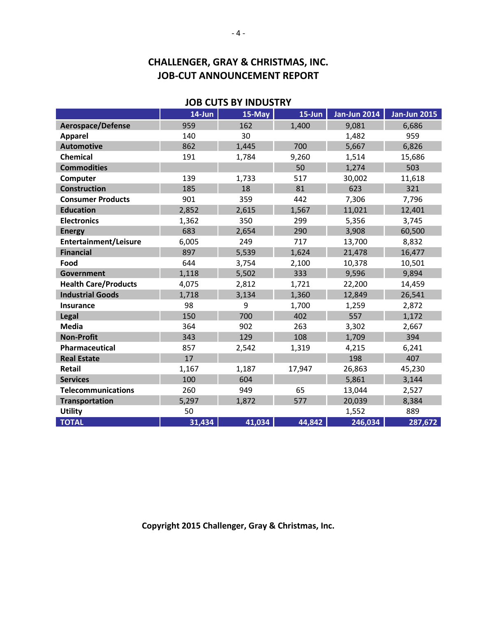|                              | JUD CUTJ DI MUUJINI |        |            |                     |                     |  |  |
|------------------------------|---------------------|--------|------------|---------------------|---------------------|--|--|
|                              | 14-Jun              | 15-May | $15 - Jun$ | <b>Jan-Jun 2014</b> | <b>Jan-Jun 2015</b> |  |  |
| Aerospace/Defense            | 959                 | 162    | 1,400      | 9,081               | 6,686               |  |  |
| <b>Apparel</b>               | 140                 | 30     |            | 1,482               | 959                 |  |  |
| <b>Automotive</b>            | 862                 | 1,445  | 700        | 5,667               | 6,826               |  |  |
| <b>Chemical</b>              | 191                 | 1,784  | 9,260      | 1,514               | 15,686              |  |  |
| <b>Commodities</b>           |                     |        | 50         | 1,274               | 503                 |  |  |
| Computer                     | 139                 | 1,733  | 517        | 30,002              | 11,618              |  |  |
| <b>Construction</b>          | 185                 | 18     | 81         | 623                 | 321                 |  |  |
| <b>Consumer Products</b>     | 901                 | 359    | 442        | 7,306               | 7,796               |  |  |
| <b>Education</b>             | 2,852               | 2,615  | 1,567      | 11,021              | 12,401              |  |  |
| <b>Electronics</b>           | 1,362               | 350    | 299        | 5,356               | 3,745               |  |  |
| <b>Energy</b>                | 683                 | 2,654  | 290        | 3,908               | 60,500              |  |  |
| <b>Entertainment/Leisure</b> | 6,005               | 249    | 717        | 13,700              | 8,832               |  |  |
| <b>Financial</b>             | 897                 | 5,539  | 1,624      | 21,478              | 16,477              |  |  |
| Food                         | 644                 | 3,754  | 2,100      | 10,378              | 10,501              |  |  |
| <b>Government</b>            | 1,118               | 5,502  | 333        | 9,596               | 9,894               |  |  |
| <b>Health Care/Products</b>  | 4,075               | 2,812  | 1,721      | 22,200              | 14,459              |  |  |
| <b>Industrial Goods</b>      | 1,718               | 3,134  | 1,360      | 12,849              | 26,541              |  |  |
| <b>Insurance</b>             | 98                  | 9      | 1,700      | 1,259               | 2,872               |  |  |
| Legal                        | 150                 | 700    | 402        | 557                 | 1,172               |  |  |
| <b>Media</b>                 | 364                 | 902    | 263        | 3,302               | 2,667               |  |  |
| <b>Non-Profit</b>            | 343                 | 129    | 108        | 1,709               | 394                 |  |  |
| Pharmaceutical               | 857                 | 2,542  | 1,319      | 4,215               | 6,241               |  |  |
| <b>Real Estate</b>           | 17                  |        |            | 198                 | 407                 |  |  |
| Retail                       | 1,167               | 1,187  | 17,947     | 26,863              | 45,230              |  |  |
| <b>Services</b>              | 100                 | 604    |            | 5,861               | 3,144               |  |  |
| <b>Telecommunications</b>    | 260                 | 949    | 65         | 13,044              | 2,527               |  |  |
| <b>Transportation</b>        | 5,297               | 1,872  | 577        | 20,039              | 8,384               |  |  |
| <b>Utility</b>               | 50                  |        |            | 1,552               | 889                 |  |  |
| <b>TOTAL</b>                 | 31,434              | 41,034 | 44,842     | 246,034             | 287,672             |  |  |

**JOB CUTS BY INDUSTRY**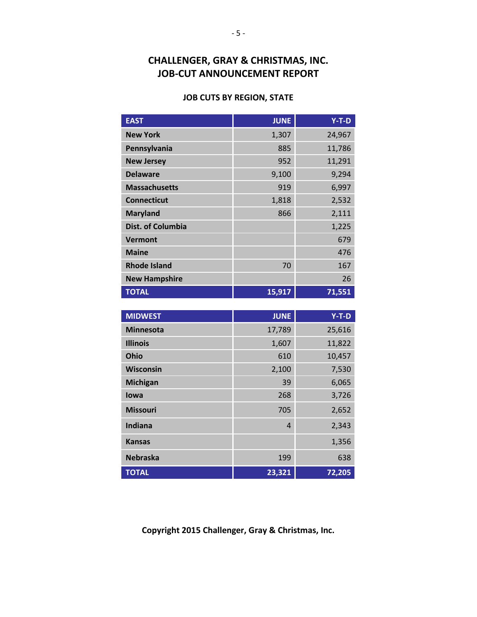### **JOB CUTS BY REGION, STATE**

| <b>EAST</b>              | <b>JUNE</b> | $Y-T-D$ |
|--------------------------|-------------|---------|
| <b>New York</b>          | 1,307       | 24,967  |
| Pennsylvania             | 885         | 11,786  |
| <b>New Jersey</b>        | 952         | 11,291  |
| <b>Delaware</b>          | 9,100       | 9,294   |
| <b>Massachusetts</b>     | 919         | 6,997   |
| <b>Connecticut</b>       | 1,818       | 2,532   |
| <b>Maryland</b>          | 866         | 2,111   |
| <b>Dist. of Columbia</b> |             | 1,225   |
| <b>Vermont</b>           |             | 679     |
| <b>Maine</b>             |             | 476     |
| <b>Rhode Island</b>      | 70          | 167     |
| <b>New Hampshire</b>     |             | 26      |
| <b>TOTAL</b>             | 15,917      | 71,551  |

| <b>MIDWEST</b>   | <b>JUNE</b>    | $Y-T-D$ |
|------------------|----------------|---------|
| <b>Minnesota</b> | 17,789         | 25,616  |
| <b>Illinois</b>  | 1,607          | 11,822  |
| Ohio             | 610            | 10,457  |
| <b>Wisconsin</b> | 2,100          | 7,530   |
| <b>Michigan</b>  | 39             | 6,065   |
| lowa             | 268            | 3,726   |
| <b>Missouri</b>  | 705            | 2,652   |
| Indiana          | $\overline{4}$ | 2,343   |
| <b>Kansas</b>    |                | 1,356   |
| <b>Nebraska</b>  | 199            | 638     |
| <b>TOTAL</b>     | 23,321         | 72,205  |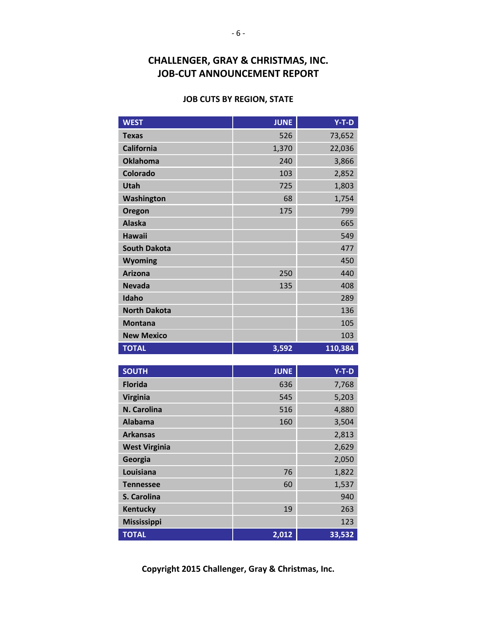### **JOB CUTS BY REGION, STATE**

| <b>WEST</b>          | <b>JUNE</b> | $Y-T-D$ |
|----------------------|-------------|---------|
| <b>Texas</b>         | 526         | 73,652  |
| <b>California</b>    | 1,370       | 22,036  |
| <b>Oklahoma</b>      | 240         | 3,866   |
| <b>Colorado</b>      | 103         | 2,852   |
| <b>Utah</b>          | 725         | 1,803   |
| Washington           | 68          | 1,754   |
| Oregon               | 175         | 799     |
| <b>Alaska</b>        |             | 665     |
| <b>Hawaii</b>        |             | 549     |
| <b>South Dakota</b>  |             | 477     |
| Wyoming              |             | 450     |
| <b>Arizona</b>       | 250         | 440     |
| <b>Nevada</b>        | 135         | 408     |
| Idaho                |             | 289     |
| <b>North Dakota</b>  |             | 136     |
| <b>Montana</b>       |             | 105     |
| <b>New Mexico</b>    |             | 103     |
| <b>TOTAL</b>         | 3,592       | 110,384 |
|                      |             |         |
| <b>SOUTH</b>         | <b>JUNE</b> | $Y-T-D$ |
| <b>Florida</b>       | 636         | 7,768   |
| <b>Virginia</b>      | 545         | 5,203   |
| N. Carolina          | 516         | 4,880   |
| <b>Alabama</b>       | 160         | 3,504   |
| <b>Arkansas</b>      |             | 2,813   |
| <b>West Virginia</b> |             | 2,629   |
| Georgia              |             | 2,050   |
| Louisiana            | 76          | 1,822   |
| <b>Tennessee</b>     | 60          | 1,537   |
| S. Carolina          |             | 940     |
| <b>Kentucky</b>      | 19          | 263     |
| <b>Mississippi</b>   |             | 123     |
| <b>TOTAL</b>         | 2,012       | 33,532  |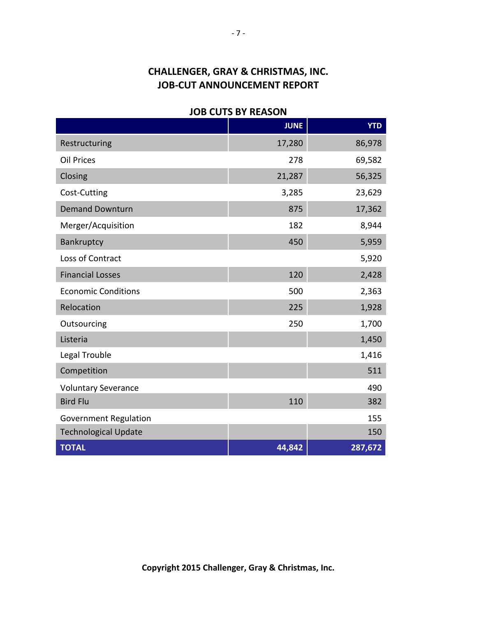### **JOB CUTS BY REASON**

|                              | <b>JUNE</b> | <b>YTD</b> |
|------------------------------|-------------|------------|
| Restructuring                | 17,280      | 86,978     |
| <b>Oil Prices</b>            | 278         | 69,582     |
| Closing                      | 21,287      | 56,325     |
| Cost-Cutting                 | 3,285       | 23,629     |
| <b>Demand Downturn</b>       | 875         | 17,362     |
| Merger/Acquisition           | 182         | 8,944      |
| Bankruptcy                   | 450         | 5,959      |
| Loss of Contract             |             | 5,920      |
| <b>Financial Losses</b>      | 120         | 2,428      |
| <b>Economic Conditions</b>   | 500         | 2,363      |
| Relocation                   | 225         | 1,928      |
| Outsourcing                  | 250         | 1,700      |
| Listeria                     |             | 1,450      |
| Legal Trouble                |             | 1,416      |
| Competition                  |             | 511        |
| <b>Voluntary Severance</b>   |             | 490        |
| <b>Bird Flu</b>              | 110         | 382        |
| <b>Government Regulation</b> |             | 155        |
| <b>Technological Update</b>  |             | 150        |
| <b>TOTAL</b>                 | 44,842      | 287,672    |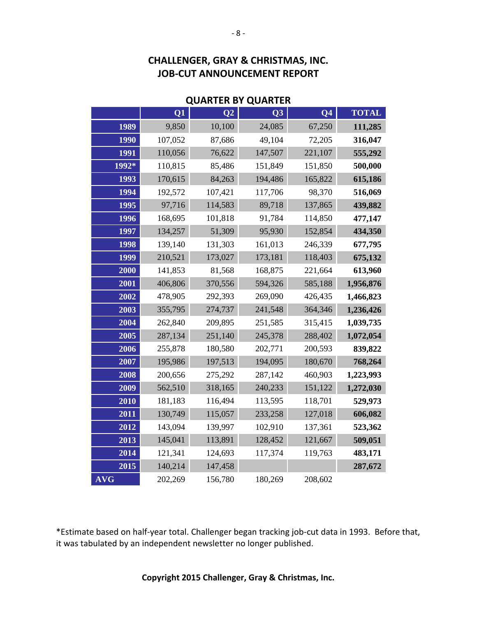| <b>QUARTER BY QUARTER</b> |         |                 |                |                          |              |
|---------------------------|---------|-----------------|----------------|--------------------------|--------------|
|                           | Q1      | $\overline{Q2}$ | Q <sub>3</sub> | $\overline{\mathbf{Q4}}$ | <b>TOTAL</b> |
| 1989                      | 9,850   | 10,100          | 24,085         | 67,250                   | 111,285      |
| 1990                      | 107,052 | 87,686          | 49,104         | 72,205                   | 316,047      |
| 1991                      | 110,056 | 76,622          | 147,507        | 221,107                  | 555,292      |
| 1992*                     | 110,815 | 85,486          | 151,849        | 151,850                  | 500,000      |
| 1993                      | 170,615 | 84,263          | 194,486        | 165,822                  | 615,186      |
| 1994                      | 192,572 | 107,421         | 117,706        | 98,370                   | 516,069      |
| 1995                      | 97,716  | 114,583         | 89,718         | 137,865                  | 439,882      |
| 1996                      | 168,695 | 101,818         | 91,784         | 114,850                  | 477,147      |
| 1997                      | 134,257 | 51,309          | 95,930         | 152,854                  | 434,350      |
| 1998                      | 139,140 | 131,303         | 161,013        | 246,339                  | 677,795      |
| 1999                      | 210,521 | 173,027         | 173,181        | 118,403                  | 675,132      |
| 2000                      | 141,853 | 81,568          | 168,875        | 221,664                  | 613,960      |
| 2001                      | 406,806 | 370,556         | 594,326        | 585,188                  | 1,956,876    |
| 2002                      | 478,905 | 292,393         | 269,090        | 426,435                  | 1,466,823    |
| 2003                      | 355,795 | 274,737         | 241,548        | 364,346                  | 1,236,426    |
| 2004                      | 262,840 | 209,895         | 251,585        | 315,415                  | 1,039,735    |
| 2005                      | 287,134 | 251,140         | 245,378        | 288,402                  | 1,072,054    |
| 2006                      | 255,878 | 180,580         | 202,771        | 200,593                  | 839,822      |
| 2007                      | 195,986 | 197,513         | 194,095        | 180,670                  | 768,264      |
| 2008                      | 200,656 | 275,292         | 287,142        | 460,903                  | 1,223,993    |
| 2009                      | 562,510 | 318,165         | 240,233        | 151,122                  | 1,272,030    |
| 2010                      | 181,183 | 116,494         | 113,595        | 118,701                  | 529,973      |
| 2011                      | 130,749 | 115,057         | 233,258        | 127,018                  | 606,082      |
| 2012                      | 143,094 | 139,997         | 102,910        | 137,361                  | 523,362      |
| 2013                      | 145,041 | 113,891         | 128,452        | 121,667                  | 509,051      |
| 2014                      | 121,341 | 124,693         | 117,374        | 119,763                  | 483,171      |
| 2015                      | 140,214 | 147,458         |                |                          | 287,672      |
| <b>AVG</b>                | 202,269 | 156,780         | 180,269        | 208,602                  |              |

\*Estimate based on half-year total. Challenger began tracking job-cut data in 1993. Before that, it was tabulated by an independent newsletter no longer published.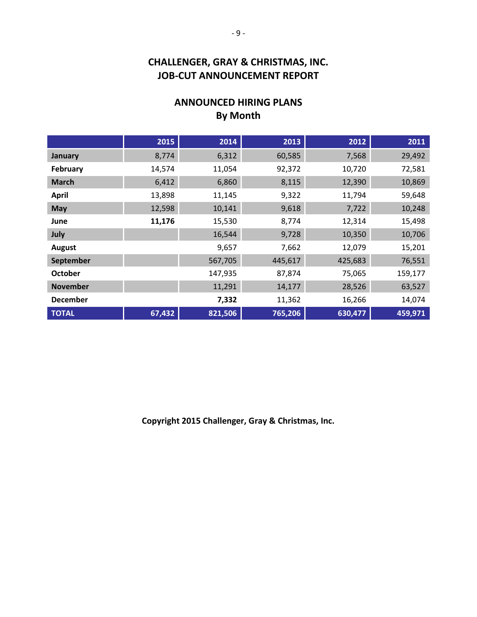## **ANNOUNCED HIRING PLANS By Month**

|                 | 2015   | 2014    | 2013    | 2012    | 2011    |
|-----------------|--------|---------|---------|---------|---------|
| January         | 8,774  | 6,312   | 60,585  | 7,568   | 29,492  |
| February        | 14,574 | 11,054  | 92,372  | 10,720  | 72,581  |
| <b>March</b>    | 6,412  | 6,860   | 8,115   | 12,390  | 10,869  |
| <b>April</b>    | 13,898 | 11,145  | 9,322   | 11,794  | 59,648  |
| May             | 12,598 | 10,141  | 9,618   | 7,722   | 10,248  |
| June            | 11,176 | 15,530  | 8,774   | 12,314  | 15,498  |
| July            |        | 16,544  | 9,728   | 10,350  | 10,706  |
| <b>August</b>   |        | 9,657   | 7,662   | 12,079  | 15,201  |
| September       |        | 567,705 | 445,617 | 425,683 | 76,551  |
| <b>October</b>  |        | 147,935 | 87,874  | 75,065  | 159,177 |
| <b>November</b> |        | 11,291  | 14,177  | 28,526  | 63,527  |
| <b>December</b> |        | 7,332   | 11,362  | 16,266  | 14,074  |
| <b>TOTAL</b>    | 67,432 | 821,506 | 765,206 | 630,477 | 459,971 |